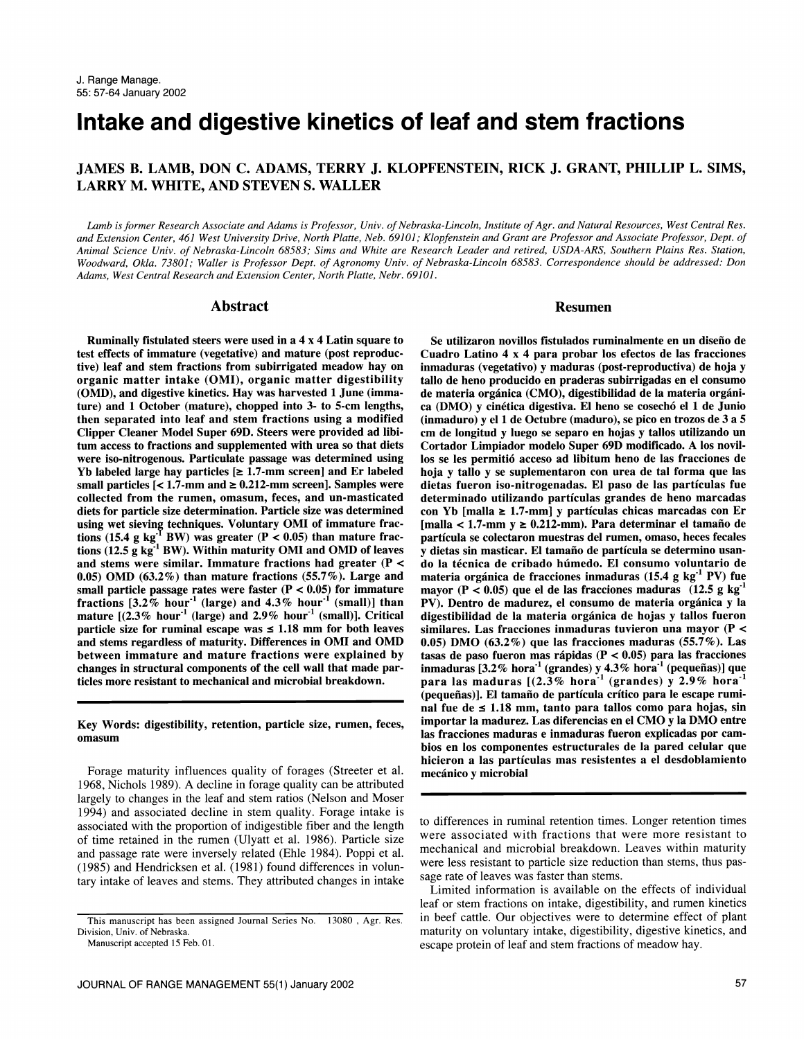# Intake and digestive kinetics of leaf and stem fractions

# JAMES B. LAMB, DON C. ADAMS, TERRY J. KLOPFENSTEIN, RICK J. GRANT, PHILLIP L. SIMS, LARRY M. WHITE, AND STEVEN S. WALLER

Lamb is former Research Associate and Adams is Professor, Univ. of Nebraska-Lincoln, Institute of Agr. and Natural Resources, West Central Res. and Extension Center, 461 West University Drive, North Platte, Neb. 69101; Klopfenstein and Grant are Professor and Associate Professor, Dept. of Animal Science Univ. of Nebraska-Lincoln 68583; Sims and White are Research Leader and retired, USDA-ARS, Southern Plains Res. Station, Woodward, Okla. 73801; Waller is Professor Dept. of Agronomy Univ. of Nebraska-Lincoln 68583. Correspondence should be addressed: Don Adams, West Central Research and Extension Center, North Platte, Nebr. 69101.

# Abstract Resumen

Ruminally fistulated steers were used in a 4 x 4 Latin square to test effects of immature (vegetative) and mature (post reproductive) leaf and stem fractions from subirrigated meadow hay on inmaduras (vegetativo) y maduras (post-reproductiva) de hoja y<br>organic matter intake (OMI), organic matter digestibility tallo de heno producido en praderas sub (OMD), and digestive kinetics. Hay was harvested 1 June (immature) and 1 October (mature), chopped into 3- to 5-cm lengths, ca (DMO) y cinética digestiva. El heno se cosechó el 1 de Junio<br>then separated into leaf and stem fractions using a modified (inmaduro) y el 1 de Octubre (madu then separated into leaf and stem fractions using a modified Clipper Cleaner Model Super 69D. Steers were provided ad libitum access to fractions and supplemented with urea so that diets Cortador Limpiador modelo Super 69D modificado. A los novil-<br>were iso-nitrogenous. Particulate passage was determined using los se les permitió acceso ad lib Yb labeled large hay particles  $[\geq 1.7$ -mm screen] and Er labeled small particles  $\leq 1.7$ -mm and  $\geq 0.212$ -mm screen]. Samples were collected from the rumen, omasum, feces, and un-masticated diets for particle size determination. Particle size was determined using wet sieving techniques. Voluntary OMI of immature fractions (15.4 g kg<sup>T</sup> BW) was greater ( $P < 0.05$ ) than mature fractions (12.5 g kg<sup>-1</sup> BW). Within maturity OMI and OMD of leaves  $\bar{y}$  dietas sin masticar. El tamaño de partícula se determino usanand stems were similar. Immature fractions had greater (P < 0.05) OMD  $(63.2\%)$  than mature fractions  $(55.7\%)$ . Large and small particle passage rates were faster  $(P < 0.05)$  for immature fractions  $[3.2\%$  hour<sup>-1</sup> (large) and  $4.3\%$  hour<sup>-1</sup> (small)] than mature  $[(2.3\% \text{ hour}^{-1} \text{ (large)} \text{ and } 2.9\% \text{ hour}^{-1} \text{ (small)}].$  Critical particle size for ruminal escape was  $\leq 1.18$  mm for both leaves and stems regardless of maturity. Differences in OMI and OMD between immature and mature fractions were explained by changes in structural components of the cell wall that made particles more resistant to mechanical and microbial breakdown.

Key Words: digestibility, retention, particle size, rumen, feces,

1968, Nichols 1989). A decline in forage quality can be attributed largely to changes in the leaf and stem ratios (Nelson and Moser 1994) and associated decline in stem quality. Forage intake is associated with the proportion of indigestible fiber and the length of time retained in the rumen (Ulyatt et al. 1986). Particle size and passage rate were inversely related (Ehle 1984). Poppi et al. (1985) and Hendricksen et al. (1981) found differences in voluntary intake of leaves and stems. They attributed changes in intake

omasum<br>Forage maturity influences quality of forages (Streeter et al.<br>Forage maturity influences quality of forages (Streeter et al.<br>Forage maturity influences quality of forages (Streeter et al.<br>mecánico y microbial Se utilizaron novillos fistulados ruminalmente en un diseño de Cuadro Latino 4 x 4 para probar los efectos de las fracciones inmaduras (vegetativo) y maduras (post-reproductiva) de hoja y de materia orgánica (CMO), digestibilidad de la materia orgánicm de longitud y luego se separo en hojas y tallos utilizando un los se les permitio acceso ad libitum heno de las fracciones de hoja y tallo y se suplementaron con urea de tal forma que las dietas fueron iso-nitrogenadas. El paso de las particulas fue determinado utilizando particulas grandes de heno marcadas con Yb [malla  $\geq 1.7$ -mm] y partículas chicas marcadas con Er  $[malla < 1.7-mm$  y  $\geq 0.212-mm$ ). Para determinar el tamaño de particula se colectaron muestras del rumen, omaso, heces fecales do la técnica de cribado húmedo. El consumo voluntario de materia orgánica de fracciones inmaduras  $(15.4 \text{ g kg}^{-1} \text{ PV})$  fue mayor ( $P < 0.05$ ) que el de las fracciones maduras (12.5 g kg PV). Dentro de madurez, el consumo de materia organica y la digestibilidad de la materia organica de hojas y tallos fueron similares. Las fracciones inmaduras tuvieron una mayor (P < 0.05) DMO (63.2%) que las fracciones maduras (55.7%). Las tasas de paso fueron mas rápidas ( $P < 0.05$ ) para las fracciones inmaduras  $[3.2\%$  hora<sup>-1</sup> (grandes) y  $4.3\%$  hora<sup>-1</sup> (pequeñas)] que para las maduras  $[(2.3\% \text{ hora}^{-1} \text{ (grandes) y } 2.9\% \text{ hora}^{-1} \text{ ]}$ (pequeñas)]. El tamaño de partícula crítico para le escape ruminal fue de  $\leq 1.18$  mm, tanto para tallos como para hojas, sin importar la madurez. Las diferencias en el CMO y la DMO entre bios en los componentes estructurales de la pared celular que hicieron a las particulas mas resistentes a el desdoblamiento mecánico y microbial

> to differences in ruminal retention times. Longer retention times were associated with fractions that were more resistant to mechanical and microbial breakdown. Leaves within maturity were less resistant to particle size reduction than stems, thus passage rate of leaves was faster than stems.

> Limited information is available on the effects of individual leaf or stem fractions on intake, digestibility, and rumen kinetics in beef cattle. Our objectives were to determine effect of plant maturity on voluntary intake, digestibility, digestive kinetics, and escape protein of leaf and stem fractions of meadow hay.

This manuscript has been assigned Journal Series No. 13080 , Agr. Res. Division, Univ. of Nebraska.

Manuscript accepted 15 Feb. 01.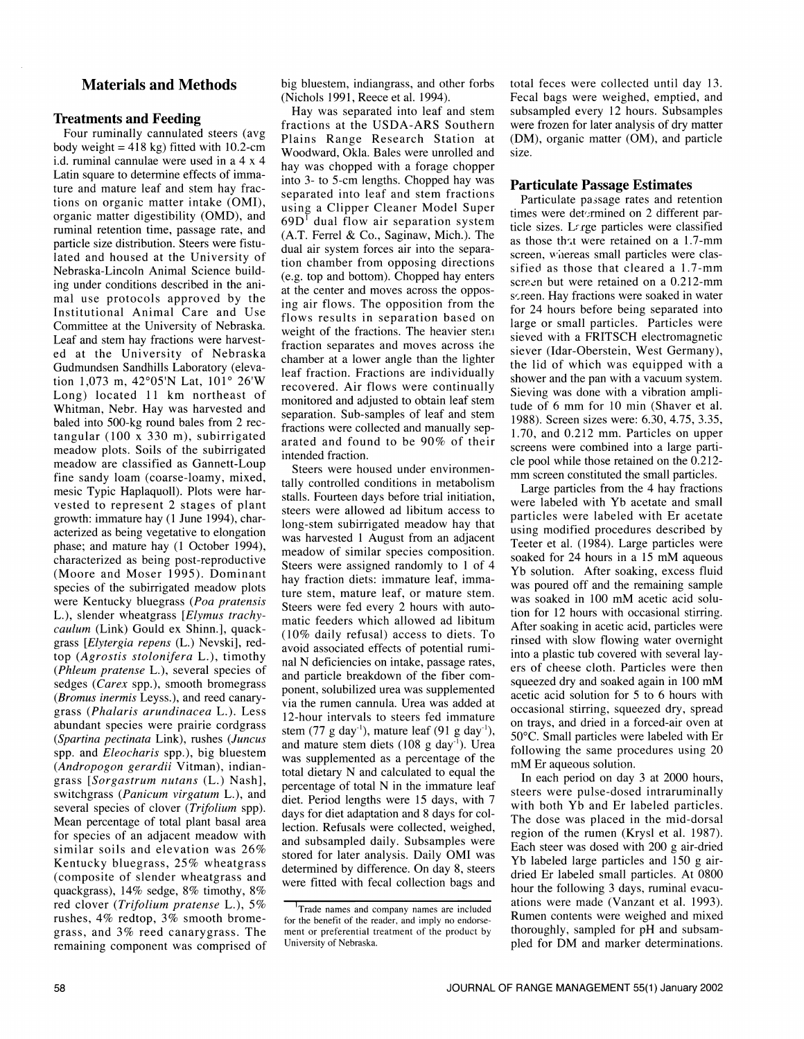# Materials and Methods

#### Treatments and Feeding

Four ruminally cannulated steers (avg body weight =  $418$  kg) fitted with 10.2-cm id. ruminal cannulae were used in a 4 x 4 Latin square to determine effects of immature and mature leaf and stem hay fractions on organic matter intake (OMI), organic matter digestibility (OMD), and ruminal retention time, passage rate, and particle size distribution. Steers were fistulated and housed at the University of Nebraska-Lincoln Animal Science building under conditions described in the animal use protocols approved by the Institutional Animal Care and Use Committee at the University of Nebraska. Leaf and stem hay fractions were harvested at the University of Nebraska Gudmundsen Sandhills Laboratory (elevation 1,073 m, 42°05'N Lat, 101° 26'W Long) located 11 km northeast of Whitman, Nebr. Hay was harvested and baled into 500-kg round bales from 2 rec tangular (100 x 330 m), subirrigated meadow plots. Soils of the subirrigated meadow are classified as Gannett-Loup fine sandy loam (coarse-loamy, mixed, mesic Typic Haplaquoll). Plots were harvested to represent 2 stages of plant growth: immature hay (1 June 1994), characterized as being vegetative to elongation phase; and mature hay (1 October 1994), characterized as being post-reproductive (Moore and Moser 1995). Dominant species of the subirrigated meadow plots were Kentucky bluegrass (*Poa pratensis* L.), slender wheatgrass [Elymus trachycaulum (Link) Gould ex Shinn.], quackgrass [Elytergia repens (L.) Nevski], redtop (Agrostis stolonifera L.), timothy (Phleum pratense L.), several species of and particle breakdown of the fiber comsedges (Carex spp.), smooth bromegrass (Bromus inermis Leyss.), and reed canarygrass (Phalaris arundinacea L.). Less abundant species were prairie cordgrass (Spartina pectinata Link), rushes (Juncus and mature stem diets  $(108 \text{ g day}^{-1})$ ). Urea spp. and Eleocharis spp.), big bluestem (Andropogon gerardii Vitman), indiangrass [Sorgastrum nutans (L.) Nash], switchgrass (Panicum virgatum L.), and several species of clover *(Trifolium spp)*. Mean percentage of total plant basal area for species of an adjacent meadow with<br>and subsampled daily. Subsamples were similar soils and elevation was  $26\%$  and subsampled darger substitution was stored for later analysis. Daily OMI was Kentucky bluegrass, 25% wheatgrass<br>determined by difference. On day 8, steers (composite of slender wheatgrass and quackgrass), 14% sedge, 8% timothy, 8% red clover (Trifolium pratense L.), 5% rushes, 4% redtop, 3% smooth bromegrass, and 3% reed canarygrass. The remaining component was comprised of

big bluestem, indiangrass, and other forbs (Nichols 1991, Reece et al. 1994).

Hay was separated into leaf and stem fractions at the USDA-ARS Southern Plains Range Research Station at Woodward, Okla. Bales were unrolled and hay was chopped with a forage chopper into 3- to 5-cm lengths. Chopped hay was separated into leaf and stem fractions using a Clipper Cleaner Model Super  $69D<sup>1</sup>$  dual flow air separation system  $(A.T.$  Ferrel & Co., Saginaw, Mich.). The dual air system forces air into the separation chamber from opposing directions (e.g. top and bottom). Chopped hay enters at the center and moves across the opposing air flows. The opposition from the flows results in separation based on large or small particles. Particles were weight of the fractions. The heavier steni fraction separates and moves across the chamber at a lower angle than the lighter leaf fraction. Fractions are individually recovered. Air flows were continually monitored and adjusted to obtain leaf stem separation. Sub-samples of leaf and stem fractions were collected and manually separated and found to be 90% of their intended fraction.

Steers were housed under environmentally controlled conditions in metabolism stalls. Fourteen days before trial initiation, steers were allowed ad libitum access to long-stem subirrigated meadow hay that was harvested 1 August from an adjacent Teeter et al. (1984). Large particles were meadow of similar species composition. Steers were assigned randomly to 1 of 4 hay fraction diets: immature leaf, immahay fraction diets: immature leaf, find was poured off and the remaining sample<br>ture stem, mature leaf, or mature stem. The secoled in 100 mM assists aside ally Steers were fed every 2 hours with automatic feeders which allowed ad libitum (10% daily refusal) access to diets. To avoid associated effects of potential rumiavoid associated effects of potential rumi-<br>nal N deficiencies on intake, passage rates, are of chases aloth. Pertialse were then ponent, solubilized urea was supplemented via the rumen cannula. Urea was added at occasional stirring, squeezed dry, spread 12-hour intervals to steers fed immature stem  $(77 \text{ g day}^{-1})$ , mature leaf  $(91 \text{ g day}^{-1})$ , was supplemented as a percentage of the total dietary N and calculated to equal the percentage of total N in the immature leaf diet. Period lengths were 15 days, with 7 days for diet adaptation and 8 days for collection. Refusals were collected, weighed, were fitted with fecal collection bags and

total feces were collected until day 13. Fecal bags were weighed, emptied, and subsampled every 12 hours. Subsamples were frozen for later analysis of dry matter (DM), organic matter (OM), and particle size.

#### Particulate Passage Estimates

Particulate passage rates and retention times were determined on 2 different particle sizes. Large particles were classified as those that were retained on a 1.7-mm screen, whereas small particles were classified as those that cleared a 1.7-mm screen but were retained on a 0.212-mm screen. Hay fractions were soaked in water for 24 hours before being separated into sieved with a FRITSCH electromagnetic siever (Idar-Oberstein, West Germany), the lid of which was equipped with a shower and the pan with a vacuum system. Sieving was done with a vibration amplitude of 6 mm for 10 min (Shaver et al. 1988). Screen sizes were: 6.30, 4.75, 3.35, 1.70, and 0.212 mm. Particles on upper screens were combined into a large particle pool while those retained on the 0.212- mm screen constituted the small particles.

Large particles from the 4 hay fractions were labeled with Yb acetate and small particles were labeled with Er acetate using modified procedures described by soaked for 24 hours in a 15 mM aqueous Yb solution. After soaking, excess fluid was soaked in 100 mM acetic acid solution for 12 hours with occasional stirring. After soaking in acetic acid, particles were rinsed with slow flowing water overnight ers of cheese cloth. Particles were then squeezed dry and soaked again in 100 mM acetic acid solution for 5 to 6 hours with on trays, and dried in a forced-air oven at 50°C. Small particles were labeled with Er following the same procedures using 20 mM Er aqueous solution.

In each period on day 3 at 2000 hours, steers were pulse-dosed intraruminally with both Yb and Er labeled particles. The dose was placed in the mid-dorsal region of the rumen (Krysl et al. 1987). Each steer was dosed with 200 g air-dried Yb labeled large particles and 150 g airdried Er labeled small particles. At 0800 hour the following 3 days, ruminal evacu ations were made (Vanzant et al. 1993). Rumen contents were weighed and mixed thoroughly, sampled for pH and subsampled for DM and marker determinations.

<sup>&</sup>lt;sup>1</sup>Trade names and company names are included for the benefit of the reader, and imply no endorsement or preferential treatment of the product by University of Nebraska.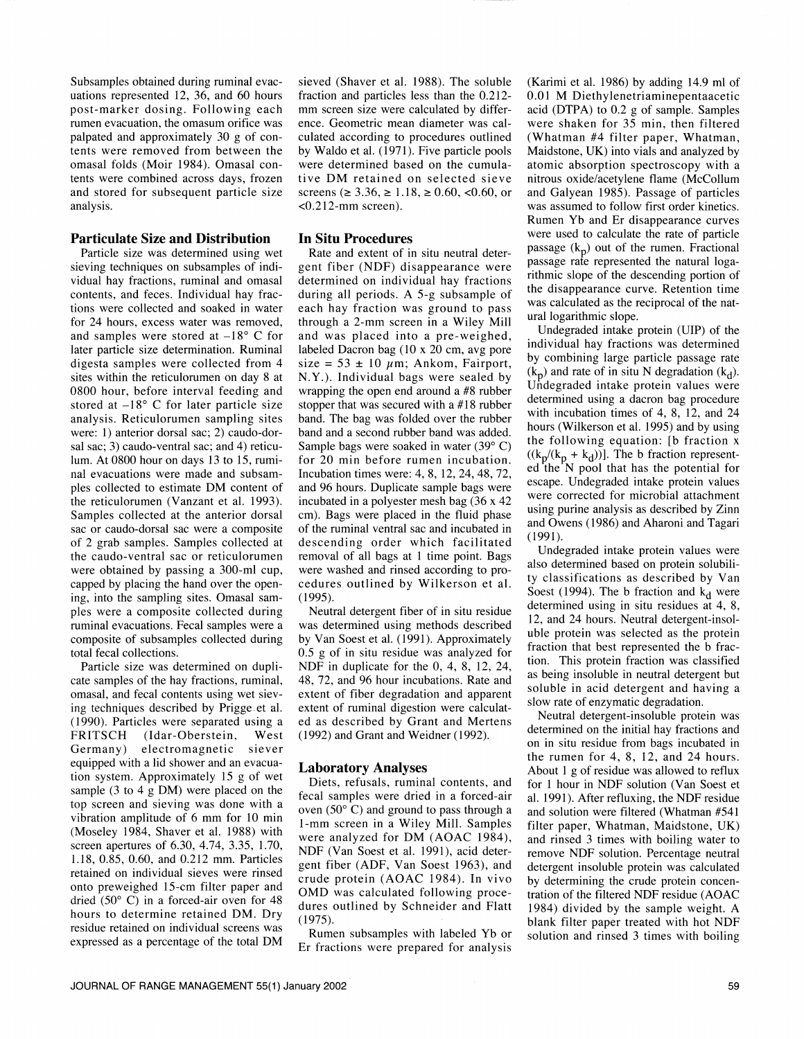post-marker dosing. Following each<br>rumen evacuation, the omasum orifice was omasal folds (Moir 1984). Omasal contents were combined across days, frozen and stored for subsequent particle size analysis.

#### Particulate Size and Distribution

Particle size was determined using wet sieving techniques on subsamples of individual hay fractions, ruminal and omasal contents, and feces. Individual hay fractions were collected and soaked in water for 24 hours, excess water was removed, and samples were stored at  $-18^{\circ}$  C for later particle size determination. Ruminal digesta samples were collected from 4 sites within the reticulorumen on day 8 at 0800 hour, before interval feeding and stored at  $-18^{\circ}$  C for later particle size analysis. Reticulorumen sampling sites were: 1) anterior dorsal sac; 2) caudo-dorsal sac; 3) caudo-ventral sac; and 4) reticulum. At 0800 hour on days 13 to 15, ruminal evacuations were made and subsamples collected to estimate DM content of the reticulorumen (Vanzant et al. 1993). Samples collected at the anterior dorsal sac or caudo-dorsal sac were a composite of 2 grab samples. Samples collected at descending order which facilitated the caudo-ventral sac or reticulorumen removal of all bags at 1 time point. Bags the caudo-ventral sac or reticulorumen were obtained by passing a 300-ml cup, capped by placing the hand over the opening, into the sampling sites. Omasal sam ples were a composite collected during ruminal evacuations. Fecal samples were a composite of subsamples collected during total fecal collections.

Particle size was determined on duplicate samples of the hay fractions, ruminal, omasal, and fecal contents using wet sieving techniques described by Prigge.et al. (1990). Particles were separated using a FRITSCH (Idar-Oberstein, West Germany) electromagnetic siever equipped with a lid shower and an evacuation system. Approximately 15 g of wet sample (3 to 4 g DM) were placed on the top screen and sieving was done with a vibration amplitude of 6 mm for 10 min (Moseley 1984, Shaver et al. 1988) with screen apertures of 6.30, 4.74, 3.35, 1.70, 1.18, 0.85, 0.60, and 0.212 mm. Particles retained on individual sieves were rinsed onto preweighed 15-cm filter paper and dried (50° C) in a forced-air oven for 48 hours to determine retained DM. Dry residue retained on individual screens was residue retained on individual screens was<br>expressed as a percentage of the total DM En freedings was presented for analysis

Subsamples obtained during ruminal evac-<br>uations represented 12, 36, and 60 hours fraction and particles less than the 0.212rumen evacuation, the omasum orifice was ence. Geometric mean diameter was cal-<br>palpated and approximately 30 g of con- culated according to procedures outlined<br>tents were removed from between the by Waldo et al. (1971). F sieved (Shaver et al. 1988). The soluble mm screen size were calculated by differculated according to procedures outlined by Waldo et al. (1971). Five particle pools were determined based on the cumulative DM retained on selected sieve screens ( $\geq 3.36$ ,  $\geq 1.18$ ,  $\geq 0.60$ , <0.60, or  $< 0.212$ -mm screen).

#### In Situ Procedures

Rate and extent of in situ neutral detergent fiber (NDF) disappearance were determined on individual hay fractions during all periods. A 5-g subsample of each hay fraction was ground to pass through a 2-mm screen in a Wiley Mill and was placed into a pre-weighed, labeled Dacron bag (10 x 20 cm, avg pore size =  $53 \pm 10 \mu m$ ; Ankom, Fairport, N.Y.). Individual bags were sealed by wrapping the open end around a #8 rubber<br>etermined using a dacron bag procedure stopper that was secured with a #18 rubber band. The bag was folded over the rubber band and a second rubber band was added. Sample bags were soaked in water (39° C) for 20 min before rumen incubation. Incubation times were: 4, 8, 12, 24, 48, 72, and 96 hours. Duplicate sample bags were incubated in a polyester mesh bag (36 x 42 cm). Bags were placed in the fluid phase of the ruminal ventral sac and incubated in descending order which facilitated<br>removal of all base at 1 time noint. Base Undegraded intake protein values were were washed and rinsed according to procedures outlined by Wilkerson et al. ty classifications as described by Van<br>Soest (1994). The b fraction and  $k_d$  were (1995).

was determined using methods described by Van Soest et al. (1991). Approximately 0.5 g of in situ residue was analyzed for NDF in duplicate for the 0, 4, 8, 12, 24, 48, 72, and 96 hour incubations. Rate and extent of fiber degradation and apparent extent of ruminal digestion were calculated as described by Grant and Mertens<br>(1002) and Grant and Weidner (1002) determined on the initial hay fractions and (1992) and Grant and Weidner (1992).

#### Laboratory Analyses

Diets, refusals, ruminal contents, and fecal samples were dried in a forced-air oven (50° C) and ground to pass through a 1-mm screen in a Wiley Mill. Samples were analyzed for DM (AOAC 1984), NDF (Van Soest et al. 1991), acid detergent fiber (ADF, Van Soest 1963), and crude protein (AOAC 1984). In vivo by determining the crude protein concen-OMD was calculated following procedures outlined by Schneider and Flatt (1975).

Er fractions were prepared for analysis

(Karimi et al. 1986) by adding 14.9 ml of 0.01 M Diethylenetriaminepentaacetic acid (DTPA) to 0.2 g of sample. Samples were shaken for 35 min, then filtered (Whatman #4 filter paper, Whatman, Maidstone, UK) into vials and analyzed by atomic absorption spectroscopy with a nitrous oxide/acetylene flame (McCollum and Galyean 1985). Passage of particles was assumed to follow first order kinetics. Rumen Yb and Er disappearance curves were used to calculate the rate of particle passage  $(k_p)$  out of the rumen. Fractional passage rate represented the natural logarithmic slope of the descending portion of the disappearance curve. Retention time was calculated as the reciprocal of the natural logarithmic slope.

Undegraded intake protein (UIP) of the individual hay fractions was determined by combining large particle passage rate  $(k_n)$  and rate of in situ N degradation  $(k_d)$ . Undegraded intake protein values were with incubation times of 4, 8, 12, and 24 hours (Wilkerson et al. 1995) and by using the following equation: [b fraction x  $((k_p/(k_p + k_d))]$ . The b fraction represented the N pool that has the potential for escape. Undegraded intake protein values were corrected for microbial attachment using purine analysis as described by Zinn and Owens (1986) and Aharoni and Tagari (1991).

also determined based on protein solubility classifications as described by Van determined using in situ residues at 4, 8, 12, and 24 hours. Neutral detergent-insoluble protein was selected as the protein fraction that best represented the b fraction. This protein fraction was classified as being insoluble in neutral detergent but soluble in acid detergent and having a slow rate of enzymatic degradation.

Neutral detergent-insoluble protein was on in situ residue from bags incubated in the rumen for 4, 8, 12, and 24 hours. About 1 g of residue was allowed to reflux for 1 hour in NDF solution (Van Soest et al. 1991). After refluxing, the NDF residue and solution were filtered (Whatman #541 filter paper, Whatman, Maidstone, UK) and rinsed 3 times with boiling water to remove NDF solution. Percentage neutral detergent insoluble protein was calculated tration of the filtered NDF residue (AOAC 1984) divided by the sample weight. A blank filter paper treated with hot NDF solution and rinsed 3 times with boiling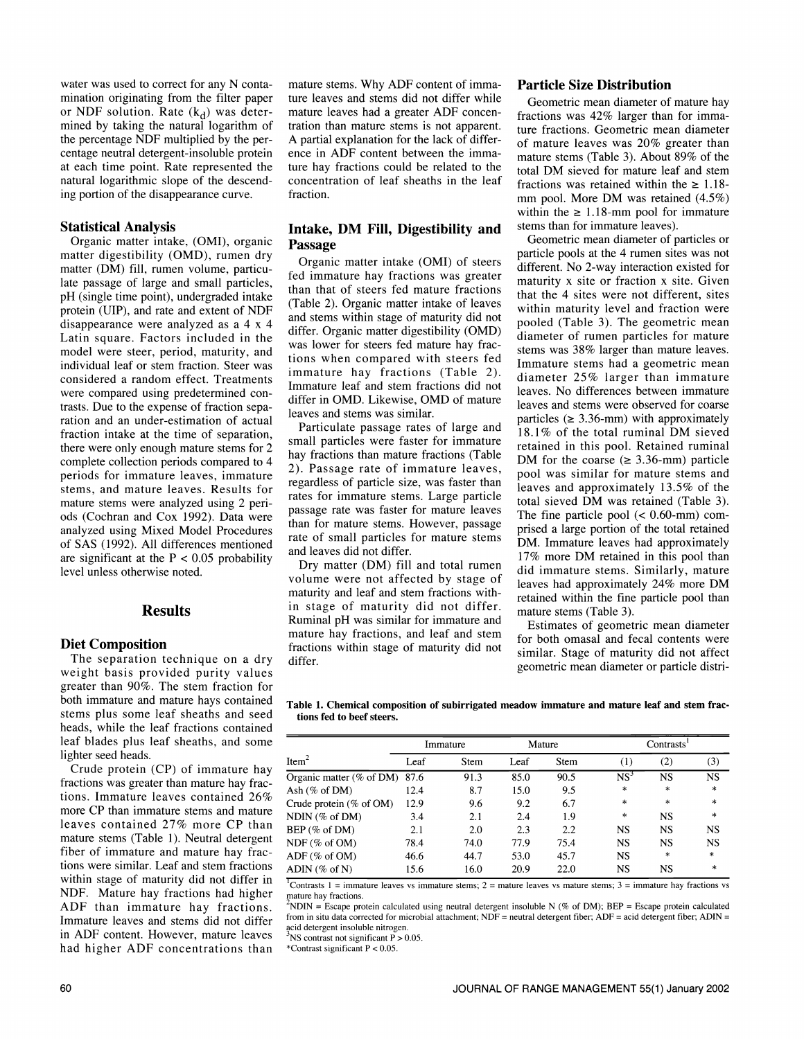water was used to correct for any N contamination originating from the filter paper or NDF solution. Rate  $(k_d)$  was deterthe percentage NDF multiplied by the percentage neutral detergent-insoluble protein at each time point. Rate represented the natural logarithmic slope of the descending portion of the disappearance curve.

#### Statistical Analysis

Organic matter intake, (OMI), organic matter digestibility (OMD), rumen dry matter (DM) fill, rumen volume, particulate passage of large and small particles, pH (single time point), undergraded intake protein (UIP), and rate and extent of NDF disappearance were analyzed as a 4 x 4 Latin square. Factors included in the model were steer, period, maturity, and individual leaf or stem fraction. Steer was considered a random effect. Treatments were compared using predetermined con trasts. Due to the expense of fraction separation and an under-estimation of actual fraction intake at the time of separation, there were only enough mature stems for 2 complete collection periods compared to 4 periods for immature leaves, immature stems, and mature leaves. Results for mature stems were analyzed using 2 periods (Cochran and Cox 1992). Data were analyzed using Mixed Model Procedures of SAS (1992). All differences mentioned are significant at the  $P < 0.05$  probability level unless otherwise noted.

#### Results

#### Diet Composition

The separation technique on a dry weight basis provided purity values greater than 90%. The stem fraction for both immature and mature hays contained stems plus some leaf sheaths and seed heads, while the leaf fractions contained leaf blades plus leaf sheaths, and some lighter seed heads.

Crude protein (CP) of immature hay fractions was greater than mature hay fractions. Immature leaves contained 26% more CP than immature stems and mature leaves contained 27% more CP than mature stems (Table 1). Neutral detergent fiber of immature and mature hay fractions were similar. Leaf and stem fractions within stage of maturity did not differ in NDF. Mature hay fractions had higher mature hay fractions. ADF than immature hay fractions. Immature leaves and stems did not differ from in situ data corrected for mi<br>in ADE content. However, with a leave a set of detergent insoluble nitrogen. in ADF content. However, mature leaves had higher ADF concentrations than

mined by taking the natural logarithm of tration than mature stems is not apparent. mature stems. Why ADF content of immature leaves and stems did not differ while mature leaves had a greater ADF concen-A partial explanation for the lack of differ- ence in ADF content between the immature hay fractions could be related to the concentration of leaf sheaths in the leaf fraction.

#### Intake, DM Fill, Digestibility and stems than for immature leaves).<br> **Passage** Geometric mean diameter of particles or Passage

Organic matter intake (OMI) of steers fed immature hay fractions was greater than that of steers fed mature fractions (Table 2). Organic matter intake of leaves and stems within stage of maturity did not differ. Organic matter digestibility (OMD) was lower for steers fed mature hay fractions when compared with steers fed immature hay fractions (Table 2). Immature leaf and stem fractions did not differ in OMD. Likewise, OMD of mature<br>leaves and stems were observed for coarse leaves and stems was similar.

Particulate passage rates of large and small particles were faster for immature hay fractions than mature fractions (Table 2). Passage rate of immature leaves, regardless of particle size, was faster than rates for immature stems. Large particle passage rate was faster for mature leaves The fine particle pool  $\langle 0.60 \text{ mm} \rangle$  comthan for mature stems. However, passage rate of small particles for mature stems and leaves did not differ.

Dry matter (DM) fill and total rumen volume were not affected by stage of maturity and leaf and stem fractions within stage of maturity did not differ. Ruminal pH was similar for immature and fractions within stage of maturity did not differ.

#### Particle Size Distribution

Geometric mean diameter of mature hay fractions was 42% larger than for immature fractions. Geometric mean diameter of mature leaves was 20% greater than mature stems (Table 3). About 89% of the total DM sieved for mature leaf and stem fractions was retained within the  $\geq 1.18$ mm pool. More DM was retained  $(4.5\%)$ within the  $\geq 1.18$ -mm pool for immature stems than for immature leaves).

particle pools at the 4 rumen sites was not different. No 2-way interaction existed for maturity x site or fraction x site. Given that the 4 sites were not different, sites within maturity level and fraction were pooled (Table 3). The geometric mean diameter of rumen particles for mature stems was 38% larger than mature leaves. Immature stems had a geometric mean diameter 25% larger than immature leaves. No differences between immature particles ( $\geq 3.36$ -mm) with approximately 18.1% of the total ruminal DM sieved retained in this pool. Retained ruminal DM for the coarse ( $\geq 3.36$ -mm) particle pool was similar for mature stems and leaves and approximately 13.5% of the total sieved DM was retained (Table 3). prised a large portion of the total retained DM. Immature leaves had approximately 17% more DM retained in this pool than did immature stems. Similarly, mature leaves had approximately 24% more DM retained within the fine particle pool than mature stems (Table 3).

mature hay fractions, and leaf and stem<br>for both omasal and fecal contents were Estimates of geometric mean diameter similar. Stage of maturity did not affect geometric mean diameter or particle distri-

Table 1. Chemical composition of subirrigated meadow immature and mature leaf and stem fractions fed to beef steers.

|                                 |      | Immature |      | Mature |           | <b>Contrasts</b> |           |
|---------------------------------|------|----------|------|--------|-----------|------------------|-----------|
| Item <sup>2</sup>               | Leaf | Stem     | Leaf | Stem   | (1)       | (2)              | (3)       |
| Organic matter (% of DM) $87.6$ |      | 91.3     | 85.0 | 90.5   | $NS^3$    | <b>NS</b>        | <b>NS</b> |
| Ash $(\%$ of DM)                | 12.4 | 8.7      | 15.0 | 9.5    | $\ast$    | *                | $\ast$    |
| Crude protein $(\%$ of OM)      | 12.9 | 9.6      | 9.2  | 6.7    | $\ast$    | $\ast$           | $\ast$    |
| NDIN (% of DM)                  | 3.4  | 2.1      | 2.4  | 1.9    | $\ast$    | <b>NS</b>        | $\ast$    |
| BEP (% of DM)                   | 2.1  | 2.0      | 2.3  | 2.2    | <b>NS</b> | <b>NS</b>        | <b>NS</b> |
| NDF (% of OM)                   | 78.4 | 74.0     | 77.9 | 75.4   | <b>NS</b> | <b>NS</b>        | <b>NS</b> |
| $ADF$ (% of OM)                 | 46.6 | 44.7     | 53.0 | 45.7   | <b>NS</b> | $\ast$           | $\ast$    |
| ADIN (% of N)                   | 15.6 | 16.0     | 20.9 | 22.0   | NS        | <b>NS</b>        | $\ast$    |

Contrasts 1 = immature leaves vs immature stems; 2 = mature leaves vs mature stems; 3 = immature hay fractions vs

NDIN = Escape protein calculated using neutral detergent insoluble N (% of DM); BEP = Escape protein calculated from in situ data corrected for microbial attachment; NDF = neutral detergent fiber; ADF = acid detergent fiber; ADIN =

 $8$ <sup>3</sup>NS contrast not significant P  $> 0.05$ .

\*Contrast significant  $P < 0.05$ .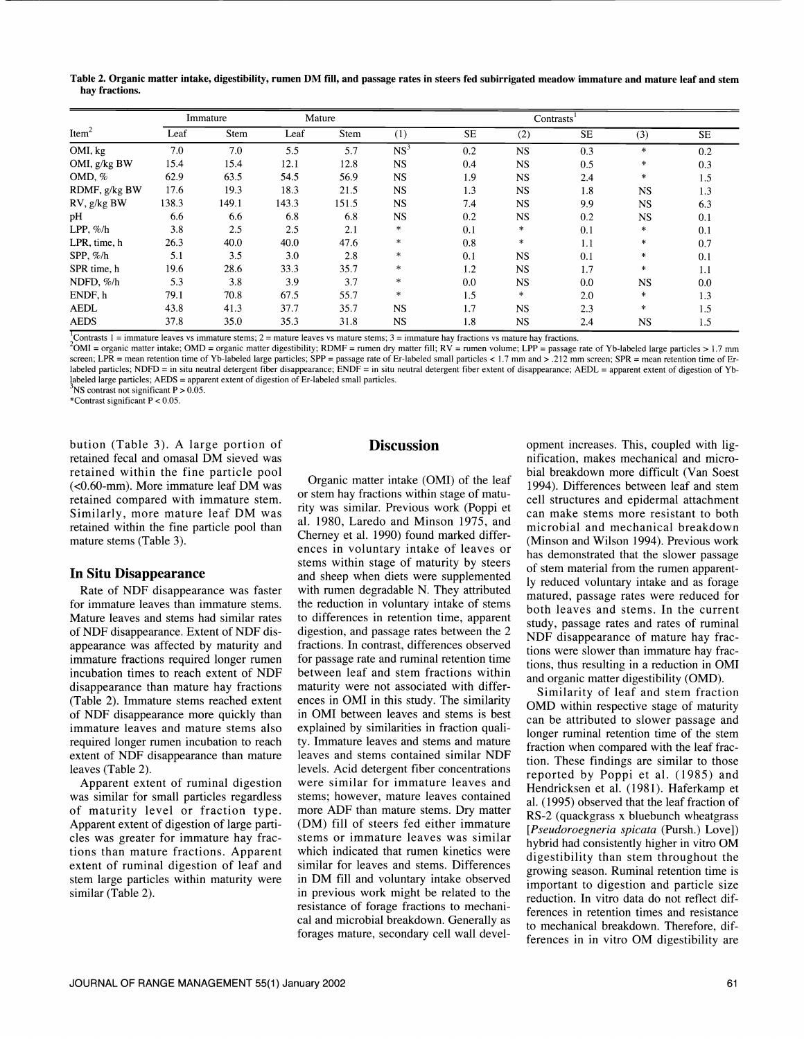Table 2. Organic matter intake, digestibility, rumen DM fill, and passage rates in steers fed subirrigated meadow immature and mature leaf and stem hay fractions.

|                   |       | Immature |       | Mature |                 |           | Contrasts <sup>1</sup> |           |           |           |
|-------------------|-------|----------|-------|--------|-----------------|-----------|------------------------|-----------|-----------|-----------|
| Item <sup>2</sup> | Leaf  | Stem     | Leaf  | Stem   | (1)             | <b>SE</b> | (2)                    | <b>SE</b> | (3)       | <b>SE</b> |
| OMI, kg           | 7.0   | 7.0      | 5.5   | 5.7    | NS <sup>3</sup> | 0.2       | <b>NS</b>              | 0.3       | $\ast$    | 0.2       |
| OMI, g/kg BW      | 15.4  | 15.4     | 12.1  | 12.8   | <b>NS</b>       | 0.4       | NS.                    | 0.5       | $\ast$    | 0.3       |
| $OMD. \%$         | 62.9  | 63.5     | 54.5  | 56.9   | <b>NS</b>       | 1.9       | NS.                    | 2.4       | $\ast$    | 1.5       |
| RDMF, g/kg BW     | 17.6  | 19.3     | 18.3  | 21.5   | <b>NS</b>       | 1.3       | <b>NS</b>              | 1.8       | <b>NS</b> | 1.3       |
| RV, g/kg BW       | 138.3 | 149.1    | 143.3 | 151.5  | <b>NS</b>       | 7.4       | NS.                    | 9.9       | <b>NS</b> | 6.3       |
| pH                | 6.6   | 6.6      | 6.8   | 6.8    | <b>NS</b>       | 0.2       | <b>NS</b>              | 0.2       | <b>NS</b> | 0.1       |
| LPP, $\%$ /h      | 3.8   | 2.5      | 2.5   | 2.1    | $\ast$          | 0.1       | $\ast$                 | 0.1       | $\ast$    | 0.1       |
| LPR, time, h      | 26.3  | 40.0     | 40.0  | 47.6   | $\ast$          | 0.8       | $\ast$                 | 1.1       | $\ast$    | 0.7       |
| SPP, $\%$ /h      | 5.1   | 3.5      | 3.0   | 2.8    | $\ast$          | 0.1       | <b>NS</b>              | 0.1       | $\ast$    | 0.1       |
| SPR time, h       | 19.6  | 28.6     | 33.3  | 35.7   | $\ast$          | 1.2       | <b>NS</b>              | 1.7       | $\ast$    | 1.1       |
| NDFD, %/h         | 5.3   | 3.8      | 3.9   | 3.7    | $\ast$          | 0.0       | <b>NS</b>              | 0.0       | <b>NS</b> | 0.0       |
| ENDF.h            | 79.1  | 70.8     | 67.5  | 55.7   | $\ast$          | 1.5       | *                      | 2.0       | $\ast$    | 1.3       |
| <b>AEDL</b>       | 43.8  | 41.3     | 37.7  | 35.7   | <b>NS</b>       | 1.7       | <b>NS</b>              | 2.3       | *         | 1.5       |
| <b>AEDS</b>       | 37.8  | 35.0     | 35.3  | 31.8   | <b>NS</b>       | 1.8       | <b>NS</b>              | 2.4       | <b>NS</b> | 1.5       |

<sup>1</sup>Contrasts 1 = immature leaves vs immature stems; 2 = mature leaves vs mature stems; 3 = immature hay fractions vs mature hay fractions.<br><sup>2</sup>OMI = organic matter intake; OMD = organic matter digestibility; RDMF = rumen d

screen; LPR = mean retention time of Yb-labeled large particles; SPP = passage rate of Er-labeled small particles < 1.7 mm and > .212 mm screen; SPR = mean retention time of Er-labeled particles; NDFD = in situ neutral det labeled large particles; AEDS = apparent extent of digestion of Er-labeled small particles.  $\text{NS}$  contrast not significant P  $> 0.05$ .

\*Contrast significant P < 0.05.

bution (Table 3). A large portion of retained fecal and omasal DM sieved was retained within the fine particle pool (<0.60-mm). More immature leaf DM was retained compared with immature stem. Similarly, more mature leaf DM was retained within the fine particle pool than mature stems (Table 3).

#### In Situ Disappearance

Rate of NDF disappearance was faster for immature leaves than immature stems. Mature leaves and stems had similar rates of NDF disappearance. Extent of NDF disappearance was affected by maturity and incubation times to reach extent of NDF between leaf and stem fractions within disappearance than mature hay fractions maturity were not associated with differdisappearance than mature hay fractions (Table 2). Immature stems reached extent of NDF disappearance more quickly than immature leaves and mature stems also required longer rumen incubation to reach extent of NDF disappearance than mature leaves (Table 2).

Apparent extent of ruminal digestion was similar for small particles regardless of maturity level or fraction type. Apparent extent of digestion of large particles was greater for immature hay fracextent of ruminal digestion of leaf and stem large particles within maturity were similar (Table 2).

# **Discussion**

tions than mature fractions. Apparent which indicated that rumen kinetics were Organic matter intake (OMI) of the leaf or stem hay fractions within stage of matuor siem hay fractions within stage of matu-<br>rity was similar. Previous work (Poppi et and mathematic management to hather al. 1980, Laredo and Minson 1975, and Cherney et al. 1990) found marked differences in voluntary intake of leaves or stems within stage of maturity by steers and sheep when diets were supplemented with rumen degradable N. They attributed the reduction in voluntary intake of stems to differences in retention time, apparent digestion, and passage rates between the 2 fractions. In contrast, differences observed for passage rate and ruminal retention time between leaf and stem fractions within ences in OMI in this study. The similarity in OMI between leaves and stems is best explained by similarities in fraction quality. Immature leaves and stems and mature leaves and stems contained similar NDF levels. Acid detergent fiber concentrations were similar for immature leaves and stems; however, mature leaves contained more ADF than mature stems. Dry matter (DM) fill of steers fed either immature stems or immature leaves was similar similar for leaves and stems. Differences in DM fill and voluntary intake observed in previous work might be related to the resistance of forage fractions to mechanical and microbial breakdown. Generally as forages mature, secondary cell wall devel-

opment increases. This, coupled with lignification, makes mechanical and microbial breakdown more difficult (Van Soest 1994). Differences between leaf and stem can make stems more resistant to both microbial and mechanical breakdown (Minson and Wilson 1994). Previous work has demonstrated that the slower passage of stem material from the rumen apparently reduced voluntary intake and as forage matured, passage rates were reduced for both leaves and stems. In the current study, passage rates and rates of ruminal NDF disappearance of mature hay fractions were slower than immature hay fractions, thus resulting in a reduction in OMI and organic matter digestibility (OMD).

Similarity of leaf and stem fraction OMD within respective stage of maturity can be attributed to slower passage and longer ruminal retention time of the stem fraction when compared with the leaf fraction. These findings are similar to those reported by Poppi et al. (1985) and Hendricksen et al. (1981). Haferkamp et al. (1995) observed that the leaf fraction of RS-2 (quackgrass x bluebunch wheatgrass [Pseudoroegneria spicata (Pursh.) Love]) hybrid had consistently higher in vitro OM digestibility than stem throughout the growing season. Ruminal retention time is important to digestion and particle size reduction. In vitro data do not reflect differences in retention times and resistance to mechanical breakdown. Therefore, differences in in vitro OM digestibility are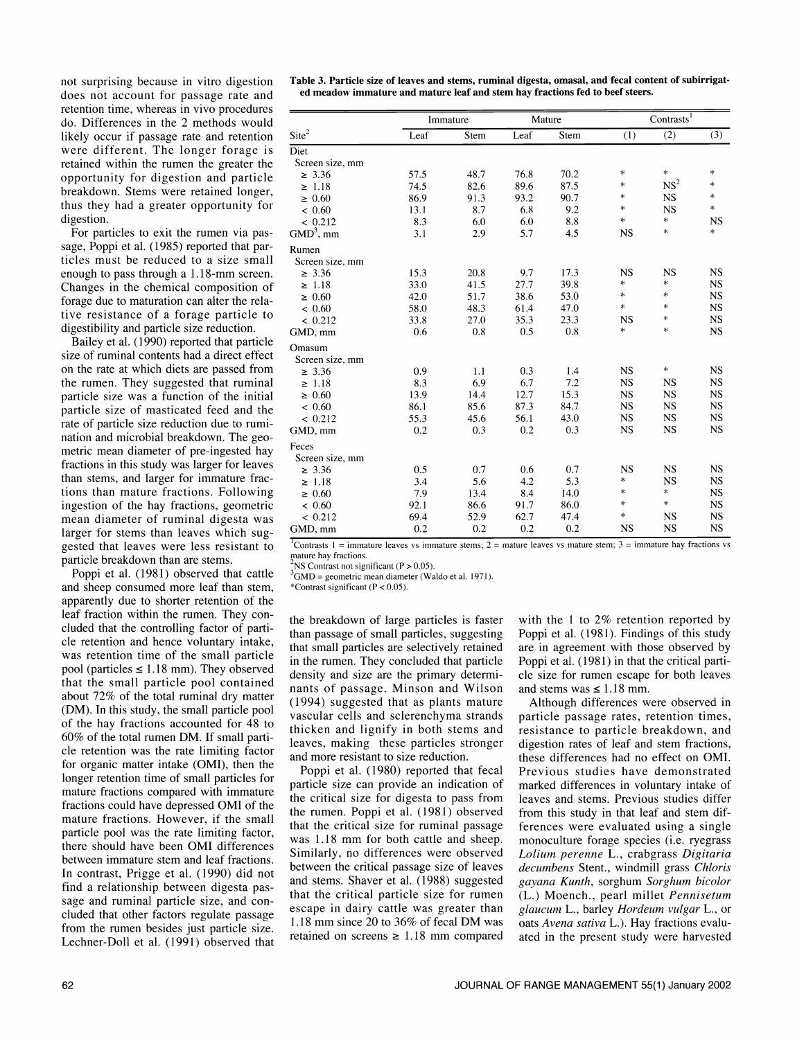not surprising because in vitro digestion does not account for passage rate and retention time, whereas in vivo procedures do. Differences in the 2 methods would likely occur if passage rate and retention were different. The longer forage is retained within the rumen the greater the opportunity for digestion and particle breakdown. Stems were retained longer, thus they had a greater opportunity for digestion.

For particles to exit the rumen via passage, Poppi et al. (1985) reported that particles must be reduced to a size small enough to pass through a 1.18-mm screen. Changes in the chemical composition of forage due to maturation can alter the relative resistance of a forage particle to digestibility and particle size reduction.

Bailey et al. (1990) reported that particle size of ruminal contents had a direct effect on the rate at which diets are passed from the rumen. They suggested that ruminal particle size was a function of the initial particle size of masticated feed and the rate of particle size reduction due to rumination and microbial breakdown. The geometric mean diameter of pre-ingested hay fractions in this study was larger for leaves than stems, and larger for immature fractions than mature fractions. Following ingestion of the hay fractions, geometric mean diameter of ruminal digesta was larger for stems than leaves which suggested that leaves were less resistant to contrasts 1 = immand-<br>narticle breakdown than are stems mature hay fractions. particle breakdown than are stems.

Poppi et al. (1981) observed that cattle and sheep consumed more leaf than stem, apparently due to shorter retention of the leaf fraction within the rumen. They concluded that the controlling factor of parti-<br>cle retention and hence voluntary intake, was retention time of the small particle pool (particles  $\leq$  1.18 mm). They observed that the small particle pool contained about 72% of the total ruminal dry matter (DM). In this study, the small particle pool of the hay fractions accounted for 48 to 60% of the total rumen DM. If small particle retention was the rate limiting factor for organic matter intake (OMI), then the longer retention time of small particles for mature fractions compared with immature fractions could have depressed OMI of the mature fractions. However, if the small particle pool was the rate limiting factor, there should have been OMI differences between immature stem and leaf fractions. In contrast, Prigge et al. (1990) did not find a relationship between digesta passage and ruminal particle size, and con- cluded that other factors regulate passage from the rumen besides just particle size. Lechner-Doll et al. (1991) observed that Table 3. Particle size of leaves and stems, ruminal digesta, omasal, and fecal content of subirrigated meadow immature and mature leaf and stem hay fractions fed to beef steers.

|                   |      | Immature |      | Mature |           | Contrasts <sup>1</sup> |           |
|-------------------|------|----------|------|--------|-----------|------------------------|-----------|
| Site <sup>2</sup> | Leaf | Stem     | Leaf | Stem   | (1)       | (2)                    | (3)       |
| Diet              |      |          |      |        |           |                        |           |
| Screen size, mm   |      |          |      |        |           |                        |           |
| $\geq 3.36$       | 57.5 | 48.7     | 76.8 | 70.2   | $\ast$    | $\ast$                 | $\ast$    |
| $\geq 1.18$       | 74.5 | 82.6     | 89.6 | 87.5   | $\ast$    | NS <sup>2</sup>        | $\ast$    |
| $\geq 0.60$       | 86.9 | 91.3     | 93.2 | 90.7   | $\ast$    | <b>NS</b>              | $\ast$    |
| < 0.60            | 13.1 | 8.7      | 6.8  | 9.2    | $\ast$    | <b>NS</b>              | $\ast$    |
| < 0.212           | 8.3  | 6.0      | 6.0  | 8.8    | $\ast$    | $\ast$                 | <b>NS</b> |
| $GMD3$ , mm       | 3.1  | 2.9      | 5.7  | 4.5    | <b>NS</b> | $\ast$                 | $\ast$    |
| Rumen             |      |          |      |        |           |                        |           |
| Screen size, mm   |      |          |      |        |           |                        |           |
| $\geq 3.36$       | 15.3 | 20.8     | 9.7  | 17.3   | <b>NS</b> | <b>NS</b>              | <b>NS</b> |
| $\geq 1.18$       | 33.0 | 41.5     | 27.7 | 39.8   | $\ast$    | $\ast$                 | <b>NS</b> |
| $\geq 0.60$       | 42.0 | 51.7     | 38.6 | 53.0   | $\ast$    | *                      | <b>NS</b> |
| < 0.60            | 58.0 | 48.3     | 61.4 | 47.0   | $\ast$    | $*$                    | <b>NS</b> |
| < 0.212           | 33.8 | 27.0     | 35.3 | 23.3   | <b>NS</b> | *                      | NS        |
| GMD, mm           | 0.6  | 0.8      | 0.5  | 0.8    | *         | $\ast$                 | <b>NS</b> |
| Omasum            |      |          |      |        |           |                        |           |
| Screen size, mm   |      |          |      |        |           |                        |           |
| $\geq 3.36$       | 0.9  | 1.1      | 0.3  | 1.4    | <b>NS</b> | $\ast$                 | <b>NS</b> |
| $\geq 1.18$       | 8.3  | 6.9      | 6.7  | 7.2    | <b>NS</b> | <b>NS</b>              | <b>NS</b> |
| $\geq 0.60$       | 13.9 | 14.4     | 12.7 | 15.3   | <b>NS</b> | <b>NS</b>              | <b>NS</b> |
| < 0.60            | 86.1 | 85.6     | 87.3 | 84.7   | <b>NS</b> | <b>NS</b>              | <b>NS</b> |
| < 0.212           | 55.3 | 45.6     | 56.1 | 43.0   | <b>NS</b> | NS                     | <b>NS</b> |
| GMD, mm           | 0.2  | 0.3      | 0.2  | 0.3    | <b>NS</b> | <b>NS</b>              | <b>NS</b> |
| Feces             |      |          |      |        |           |                        |           |
| Screen size, mm   |      |          |      |        |           |                        |           |
| $\geq 3.36$       | 0.5  | 0.7      | 0.6  | 0.7    | <b>NS</b> | <b>NS</b>              | <b>NS</b> |
| $\geq 1.18$       | 3.4  | 5.6      | 4.2  | 5.3    | *         | <b>NS</b>              | <b>NS</b> |
| $\geq 0.60$       | 7.9  | 13.4     | 8.4  | 14.0   | $\ast$    | $\ast$                 | <b>NS</b> |
| < 0.60            | 92.1 | 86.6     | 91.7 | 86.0   | $\ast$    | *                      | <b>NS</b> |
| < 0.212           | 69.4 | 52.9     | 62.7 | 47.4   | $\ast$    | <b>NS</b>              | <b>NS</b> |
| GMD, mm           | 0.2  | 0.2      | 0.2  | 0.2    | <b>NS</b> | <b>NS</b>              | <b>NS</b> |

Contrasts 1 = immature leaves vs immature stems; 2 = mature leaves vs mature stem; 3 = immature hay fractions vs

NS Contrast not significant ( $P > 0.05$ ).

 ${}^{3}$ GMD = geometric mean diameter (Waldo et al. 1971).

\*Contrast significant (P < 0.05).

the breakdown of large particles is faster than passage of small particles, suggesting that small particles are selectively retained are in agreement with those observed by in the rumen. They concluded that particle density and size are the primary determinants of passage. Minson and Wilson (1994) suggested that as plants mature vascular cells and sclerenchyma strands thicken and lignify in both stems and leaves, making these particles stronger and more resistant to size reduction.

Poppi et al. (1980) reported that fecal particle size can provide an indication of the critical size for digesta to pass from the rumen. Poppi et al. (1981) observed that the critical size for ruminal passage was 1.18 mm for both cattle and sheep. Similarly, no differences were observed between the critical passage size of leaves and stems. Shaver et al. (1988) suggested that the critical particle size for rumen  $(L)$ .) Moench., pearl millet *Pennisetum* escape in dairy cattle was greater than *glaucum* L., barley *Hordeum vulgar* L., or escape in dairy cattle was greater than 1.18 mm since 20 to 36% of fecal DM was retained on screens  $\geq 1.18$  mm compared

with the 1 to 2% retention reported by Poppi et al. (1981). Findings of this study Poppi et al. (1981) in that the critical particle size for rumen escape for both leaves and stems was  $\leq 1.18$  mm.

Although differences were observed in particle passage rates, retention times, resistance to particle breakdown, and digestion rates of leaf and stem fractions, these differences had no effect on OMI. Previous studies have demonstrated marked differences in voluntary intake of leaves and stems. Previous studies differ from this study in that leaf and stem differences were evaluated using a single monoculture forage species (i.e. ryegrass Lolium perenne L., crabgrass Digitaria decumbens Stent., windmill grass Chloris gayana Kunth, sorghum Sorghum bicolor (L.) Moench., pearl millet Pennisetum oats Avena sativa L.). Hay fractions evaluated in the present study were harvested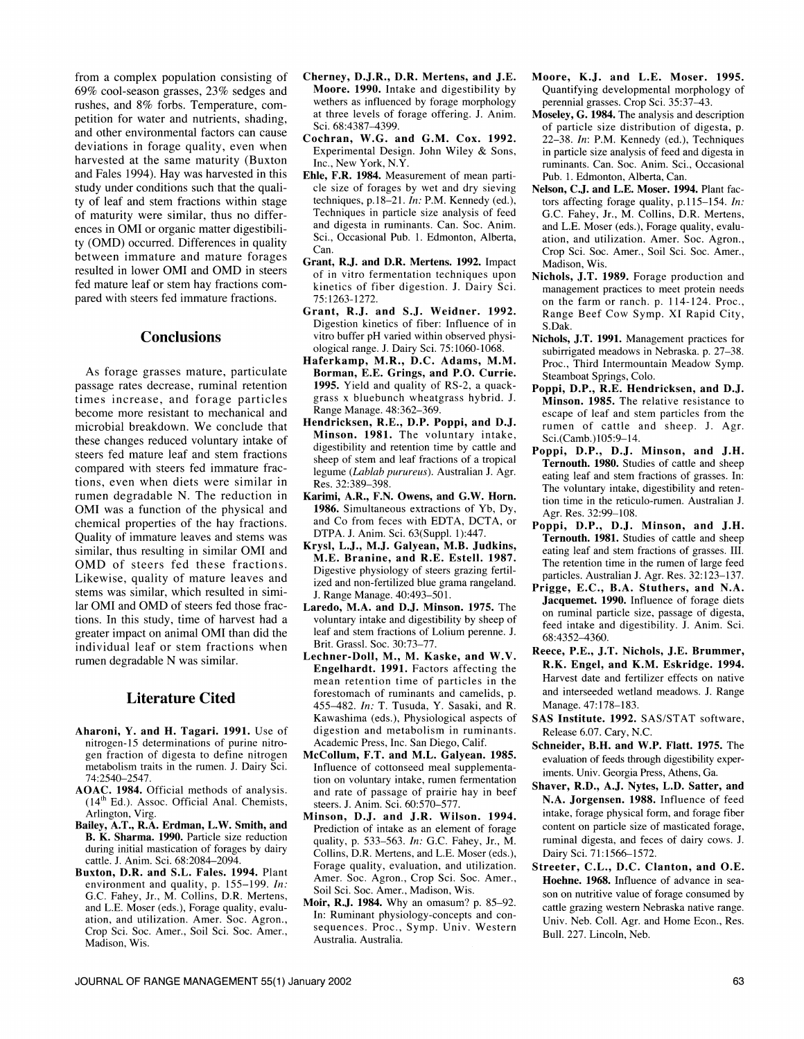from a complex population consisting of 69% cool-season grasses, 23% sedges and rushes, and 8% forbs. Temperature, competition for water and nutrients, shading, and other environmental factors can cause deviations in forage quality, even when harvested at the same maturity (Buxton and Fales 1994). Hay was harvested in this study under conditions such that the quality of leaf and stem fractions within stage of maturity were similar, thus no differ ences in OMI or organic matter digestibility (OMD) occurred. Differences in quality between immature and mature forages resulted in lower OMI and OMD in steers fed mature leaf or stem hay fractions com-<br>pared with steers fed immature fractions.

### **Conclusions**

As forage grasses mature, particulate passage rates decrease, ruminal retention times increase, and forage particles become more resistant to mechanical and microbial breakdown. We conclude that these changes reduced voluntary intake of steers fed mature leaf and stem fractions compared with steers fed immature fractions, even when diets were similar in rumen degradable N. The reduction in OMI was a function of the physical and chemical properties of the hay fractions. Quality of immature leaves and stems was similar, thus resulting in similar OMI and OMD of steers fed these fractions. Likewise, quality of mature leaves and stems was similar, which resulted in similar OMI and OMD of steers fed those fractions. In this study, time of harvest had a greater impact on animal OMI than did the individual leaf or stem fractions when rumen degradable N was similar.

# Literature Cited

- Aharoni, Y. and H. Tagari. 1991. Use of nitrogen-15 determinations of purine nitrogen fraction of digesta to define nitrogen metabolism traits in the rumen. J. Dairy Sci. 74:2540-2547.
- AOAC. 1984. Official methods of analysis. (14th Ed.). Assoc. Official Anal. Chemists, Arlington, Virg.
- Bailey, A.T., R.A. Erdman, L.W. Smith, and B. K. Sharma. 1990. Particle size reduction during initial mastication of forages by dairy cattle. J. Anim. Sci. 68:2084-2094.
- Buxton, D.R. and S.L. Fales. 1994. Plant environment and quality, p. 155-199. In: G.C. Fahey, Jr., M. Collins, D.R. Mertens, and L.E. Moser (eds.), Forage quality, evaluation, and utilization. Amer. Soc. Agron., Crop Sci. Soc. Amer., Soil Sci. Soc. Amer., Madison, Wis.
- Cherney, D.J.R., D.R. Mertens, and J.E. Moore. 1990. Intake and digestibility by wethers as influenced by forage morphology at three levels of forage offering. J. Anim. Sci. 68:4387-4399.
- Cochran, W.G. and G.M. Cox. 1992. Experimental Design. John Wiley & Sons, Inc., New York, N.Y.
- Ehle, F.R. 1984. Measurement of mean particle size of forages by wet and dry sieving techniques, p.18-21. In: P.M. Kennedy (ed.), Techniques in particle size analysis of feed and digesta in ruminants. Can. Soc. Anim. Sci., Occasional Pub. 1. Edmonton, Alberta, Can.
- Grant, R.J. and D.R. Mertens. 1992. Impact of in vitro fermentation techniques upon 75:1263-1272.
- Grant, R.J. and S.J. Weidner. 1992. Digestion kinetics of fiber: Influence of in vitro buffer pH varied within observed physiological range. J. Dairy Sci. 75:1060-1068.
- Haferkamp, M.R., D.C. Adams, M.M. Borman, E.E. Grings, and P.O. Currie. 1995. Yield and quality of RS-2, a quackgrass x bluebunch wheatgrass hybrid. J. Range Manage. 48:362-369.
- Hendricksen, R.E., D.P. Poppi, and D.J. Minson. 1981. The voluntary intake, digestibility and retention time by cattle and sheep of stem and leaf fractions of a tropical legume (Lablab purureus). Australian J. Agr. Res. 32:389-398.
- Karimi, A.R., F.N. Owens, and G.W. Horn. 1986. Simultaneous extractions of Yb, Dy, and Co from feces with EDTA, DCTA, or DTPA. J. Anim. Sci. 63(Suppl.1):447.
- Krysl, L.J., M.J. Galyean, M.B. Judkins, M.E. Branine, and R.E. Estell. 1987. Digestive physiology of steers grazing fertilized and non-fertilized blue grama rangeland. J. Range Manage. 40:493-501.
- Laredo, M.A. and D.J. Minson. 1975. The voluntary intake and digestibility by sheep of leaf and stem fractions of Lolium perenne. J. Brit. Grassl. Soc. 30:73-77.
- Lechner-Doll, M., M. Kaske, and W.V. Engelhardt. 1991. Factors affecting the mean retention time of particles in the forestomach of ruminants and camelids, p. 455-482. In: T. Tusuda, Y. Sasaki, and R. Kawashima (eds.), Physiological aspects of digestion and metabolism in ruminants. Academic Press, Inc. San Diego, Calif.
- McCollum, F.T. and M.L. Galyean. 1985. Influence of cottonseed meal supplementation on voluntary intake, rumen fermentation and rate of passage of prairie hay in beef steers. J. Anim. Sci. 60:570-577.
- Minson, D.J. and J.R. Wilson. 1994. Prediction of intake as an element of forage quality, p. 533-563. In: G.C. Fahey, Jr., M. Collins, D.R. Mertens, and L.E. Moser (eds.), Forage quality, evaluation, and utilization. Amer. Soc. Agron., Crop Sci. Soc. Amer., Soil Sci. Soc. Amer., Madison, Wis.
- Moir, R.J. 1984. Why an omasum? p. 85-92. In: Ruminant physiology-concepts and con sequences. Proc., Symp. Univ. Western Australia. Australia.
- Moore, K.J. and L.E. Moser. 1995. Quantifying developmental morphology of perennial grasses. Crop Sci. 35:37-43.
- Moseley, G. 1984. The analysis and description of particle size distribution of digesta, p. 22-38. In: P.M. Kennedy (ed.), Techniques in particle size analysis of feed and digesta in ruminants. Can. Soc. Anim. Sci., Occasional Pub. 1. Edmonton, Alberta, Can.
- Nelson, C.J. and L.E. Moser.1994. Plant factors affecting forage quality, p.115-154. In: G.C. Fahey, Jr., M. Collins, D.R. Mertens, and L.E. Moser (eds.), Forage quality, evaluation, and utilization. Amer. Soc. Agron., Crop Sci. Soc. Amer., Soil Sci. Soc. Amer., Madison, Wis.
- kinetics of fiber digestion. J. Dairy Sci. management practices to meet protein needs Nichols, J.T. 1989. Forage production and on the farm or ranch. p. 114-124. Proc., Range Beef Cow Symp. XI Rapid City, S.Dak.
	- Nichols, J.T. 1991. Management practices for subirrigated meadows in Nebraska. p. 27-38. Proc., Third Intermountain Meadow Symp. Steamboat Springs, Colo.
	- Poppi, D.P., R.E. Hendricksen, and D.J. Minson. 1985. The relative resistance to escape of leaf and stem particles from the rumen of cattle and sheep. J. Agr. Sci.(Camb.)105:9-14.
	- Poppi, D.P., D.J. Minson, and J.H. Ternouth. 1980. Studies of cattle and sheep eating leaf and stem fractions of grasses. In: The voluntary intake, digestibility and retention time in the reticulo-rumen. Australian J. Agr. Res. 32:99-108.
	- Poppi, D.P., D.J. Minson, and J.H. Ternouth. 1981. Studies of cattle and sheep eating leaf and stem fractions of grasses. III. The retention time in the rumen of large feed particles. Australian J. Agr. Res. 32:123-137.
	- Prigge, E.C., B.A. Stuthers, and N.A. Jacquemet. 1990. Influence of forage diets on ruminal particle size, passage of digesta, feed intake and digestibility. J. Anim. Sci. 68:4352-4360.
	- Reece, P.E., J.T. Nichols, J.E. Brummer, R.K. Engel, and K.M. Eskridge. 1994. Harvest date and fertilizer effects on native and interseeded wetland meadows. J. Range Manage. 47:178-183.
	- SAS Institute. 1992. SAS/STAT software, Release 6.07. Cary, N.C.
	- Schneider, B.H. and W.P. Flatt. 1975. The evaluation of feeds through digestibility experiments. Univ. Georgia Press, Athens, Ga.
	- Shaver, R.D., A.J. Nytes, L.D. Satter, and N.A. Jorgensen. 1988. Influence of feed intake, forage physical form, and forage fiber content on particle size of masticated forage, ruminal digesta, and feces of dairy cows. J. Dairy Sci. 71:1566-1572.
	- Streeter, C.L., D.C. Clanton, and O.E. Hoehne. 1968. Influence of advance in sea son on nutritive value of forage consumed by cattle grazing western Nebraska native range. Univ. Neb. Coll. Agr. and Home Econ., Res. Bull. 227. Lincoln, Neb.